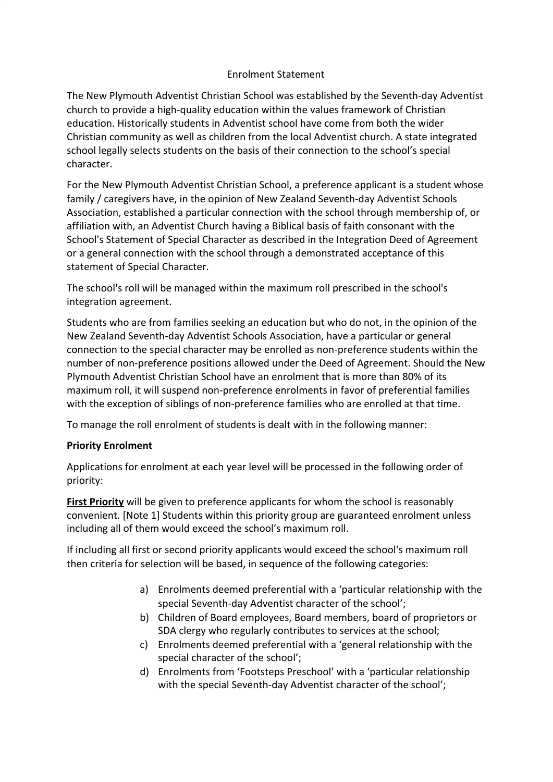## Enrolment Statement

The New Plymouth Adventist Christian School was established by the Seventh-day Adventist church to provide a high-quality education within the values framework of Christian education. Historically students in Adventist school have come from both the wider Christian community as well as children from the local Adventist church. A state integrated school legally selects students on the basis of their connection to the school's special character.

For the New Plymouth Adventist Christian School, a preference applicant is a student whose family / caregivers have, in the opinion of New Zealand Seventh-day Adventist Schools Association, established a particular connection with the school through membership of, or affiliation with, an Adventist Church having a Biblical basis of faith consonant with the School's Statement of Special Character as described in the Integration Deed of Agreement or a general connection with the school through a demonstrated acceptance of this statement of Special Character.

The school's roll will be managed within the maximum roll prescribed in the school's integration agreement.

Students who are from families seeking an education but who do not, in the opinion of the New Zealand Seventh-day Adventist Schools Association, have a particular or general connection to the special character may be enrolled as non-preference students within the number of non-preference positions allowed under the Deed of Agreement. Should the New Plymouth Adventist Christian School have an enrolment that is more than 80% of its maximum roll, it will suspend non-preference enrolments in favor of preferential families with the exception of siblings of non-preference families who are enrolled at that time.

To manage the roll enrolment of students is dealt with in the following manner:

## **Priority Enrolment**

Applications for enrolment at each year level will be processed in the following order of priority:

**First Priority** will be given to preference applicants for whom the school is reasonably convenient. [Note 1] Students within this priority group are guaranteed enrolment unless including all of them would exceed the school's maximum roll.

If including all first or second priority applicants would exceed the school's maximum roll then criteria for selection will be based, in sequence of the following categories:

- a) Enrolments deemed preferential with a 'particular relationship with the special Seventh-day Adventist character of the school';
- b) Children of Board employees, Board members, board of proprietors or SDA clergy who regularly contributes to services at the school;
- c) Enrolments deemed preferential with a 'general relationship with the special character of the school';
- d) Enrolments from 'Footsteps Preschool' with a 'particular relationship with the special Seventh-day Adventist character of the school';